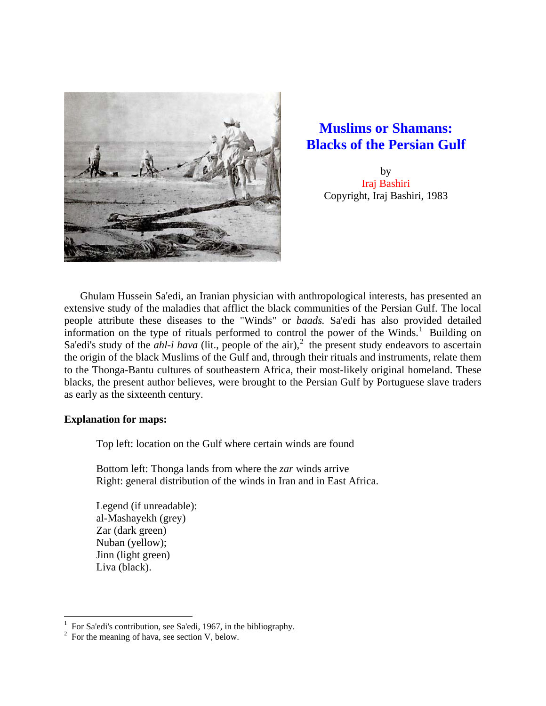

# **Muslims or Shamans: Blacks of the Persian Gulf**

by Iraj Bashiri Copyright, Iraj Bashiri, 1983

 Ghulam Hussein Sa'edi, an Iranian physician with anthropological interests, has presented an extensive study of the maladies that afflict the black communities of the Persian Gulf. The local people attribute these diseases to the "Winds" or *baads.* Sa'edi has also provided detailed information on the type of rituals performed to control the power of the Winds.<sup>[1](#page-0-0)</sup> Building on Sa'edi's study of the *ahl-i hava* (lit., people of the air),<sup>[2](#page-0-1)</sup> the present study endeavors to ascertain the origin of the black Muslims of the Gulf and, through their rituals and instruments, relate them to the Thonga-Bantu cultures of southeastern Africa, their most-likely original homeland. These blacks, the present author believes, were brought to the Persian Gulf by Portuguese slave traders as early as the sixteenth century.

# **Explanation for maps:**

 $\overline{a}$ 

Top left: location on the Gulf where certain winds are found

Bottom left: Thonga lands from where the *zar* winds arrive Right: general distribution of the winds in Iran and in East Africa.

Legend (if unreadable): al-Mashayekh (grey) Zar (dark green) Nuban (yellow); Jinn (light green) Liva (black).

<span id="page-0-0"></span><sup>1</sup> For Sa'edi's contribution, see Sa'edi, 1967, in the bibliography.

<span id="page-0-1"></span> $2^2$  For the meaning of hava, see section V, below.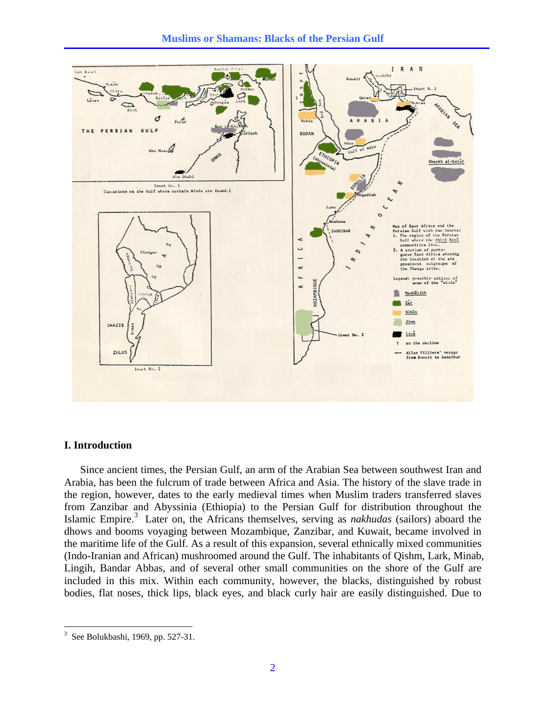

### **I. Introduction**

Since ancient times, the Persian Gulf, an arm of the Arabian Sea between southwest Iran and Arabia, has been the fulcrum of trade between Africa and Asia. The history of the slave trade in the region, however, dates to the early medieval times when Muslim traders transferred slaves from Zanzibar and Abyssinia (Ethiopia) to the Persian Gulf for distribution throughout the Islamic Empire.[3](#page-1-0) Later on, the Africans themselves, serving as *nakhudas* (sailors) aboard the dhows and booms voyaging between Mozambique, Zanzibar, and Kuwait, became involved in the maritime life of the Gulf. As a result of this expansion, several ethnically mixed communities (Indo-Iranian and African) mushroomed around the Gulf. The inhabitants of Qishm, Lark, Minab, Lingih, Bandar Abbas, and of several other small communities on the shore of the Gulf are included in this mix. Within each community, however, the blacks, distinguished by robust bodies, flat noses, thick lips, black eyes, and black curly hair are easily distinguished. Due to

<span id="page-1-0"></span> $3$  See Bolukbashi, 1969, pp. 527-31.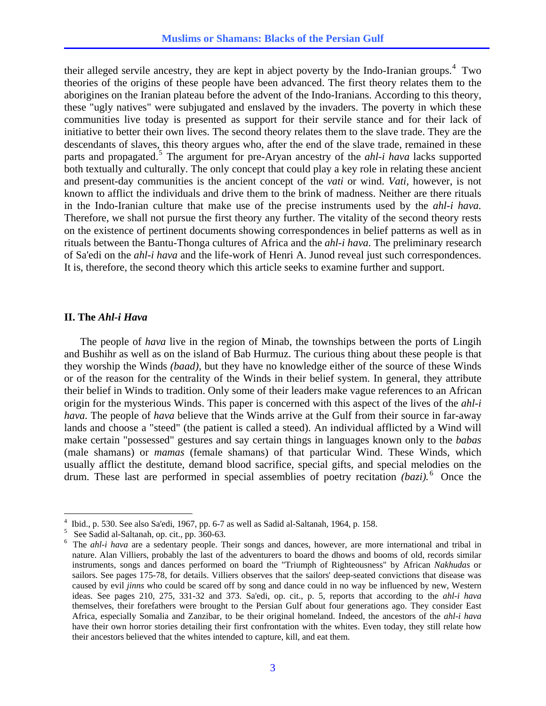their alleged servile ancestry, they are kept in abject poverty by the Indo-Iranian groups.<sup>[4](#page-2-0)</sup> Two theories of the origins of these people have been advanced. The first theory relates them to the aborigines on the Iranian plateau before the advent of the Indo-Iranians. According to this theory, these "ugly natives" were subjugated and enslaved by the invaders. The poverty in which these communities live today is presented as support for their servile stance and for their lack of initiative to better their own lives. The second theory relates them to the slave trade. They are the descendants of slaves, this theory argues who, after the end of the slave trade, remained in these parts and propagated.<sup>[5](#page-2-1)</sup> The argument for pre-Aryan ancestry of the *ahl-i hava* lacks supported both textually and culturally. The only concept that could play a key role in relating these ancient and present-day communities is the ancient concept of the *vati* or wind. *Vati,* however, is not known to afflict the individuals and drive them to the brink of madness. Neither are there rituals in the Indo-Iranian culture that make use of the precise instruments used by the *ahl-i hava.* Therefore, we shall not pursue the first theory any further. The vitality of the second theory rests on the existence of pertinent documents showing correspondences in belief patterns as well as in rituals between the Bantu-Thonga cultures of Africa and the *ahl-i hava*. The preliminary research of Sa'edi on the *ahl-i hava* and the life-work of Henri A. Junod reveal just such correspondences. It is, therefore, the second theory which this article seeks to examine further and support.

### **II. The** *Ahl-i Hava*

1

 The people of *hava* live in the region of Minab, the townships between the ports of Lingih and Bushihr as well as on the island of Bab Hurmuz. The curious thing about these people is that they worship the Winds *(baad),* but they have no knowledge either of the source of these Winds or of the reason for the centrality of the Winds in their belief system. In general, they attribute their belief in Winds to tradition. Only some of their leaders make vague references to an African origin for the mysterious Winds. This paper is concerned with this aspect of the lives of the *ahl-i hava.* The people of *hava* believe that the Winds arrive at the Gulf from their source in far-away lands and choose a "steed" (the patient is called a steed). An individual afflicted by a Wind will make certain "possessed" gestures and say certain things in languages known only to the *babas* (male shamans) or *mamas* (female shamans) of that particular Wind. These Winds, which usually afflict the destitute, demand blood sacrifice, special gifts, and special melodies on the drum. These last are performed in special assemblies of poetry recitation *(bazi)*.<sup>[6](#page-2-2)</sup> Once the

<span id="page-2-0"></span><sup>4</sup> Ibid., p. 530. See also Sa'edi, 1967, pp. 6-7 as well as Sadid al-Saltanah, 1964, p. 158.

<span id="page-2-1"></span><sup>5</sup> See Sadid al-Saltanah, op. cit., pp. 360-63.

<span id="page-2-2"></span><sup>&</sup>lt;sup>6</sup> The *ahl-i hava* are a sedentary people. Their songs and dances, however, are more international and tribal in nature. Alan Villiers, probably the last of the adventurers to board the dhows and booms of old, records similar instruments, songs and dances performed on board the "Triumph of Righteousness" by African *Nakhudas* or sailors. See pages 175-78, for details. Villiers observes that the sailors' deep-seated convictions that disease was caused by evil *jinns* who could be scared off by song and dance could in no way be influenced by new, Western ideas. See pages 210, 275, 331-32 and 373. Sa'edi, op. cit., p. 5, reports that according to the *ahl-i hava* themselves, their forefathers were brought to the Persian Gulf about four generations ago. They consider East Africa, especially Somalia and Zanzibar, to be their original homeland. Indeed, the ancestors of the *ahl-i hava* have their own horror stories detailing their first confrontation with the whites. Even today, they still relate how their ancestors believed that the whites intended to capture, kill, and eat them.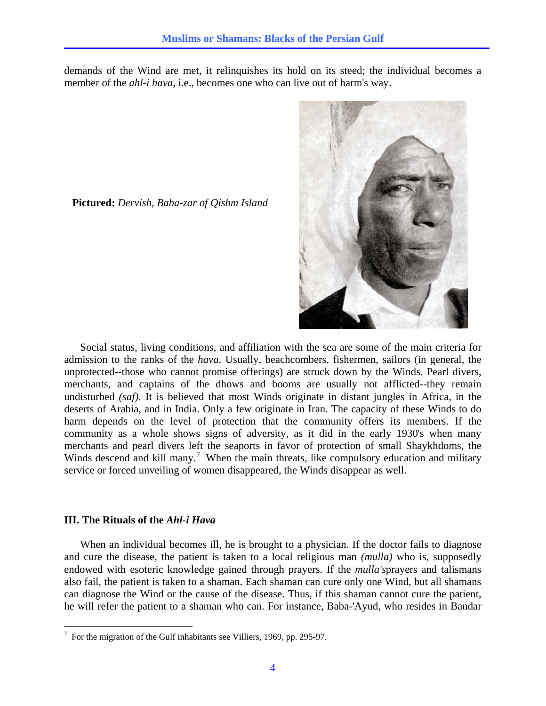demands of the Wind are met, it relinquishes its hold on its steed; the individual becomes a member of the *ahl-i hava*, i.e., becomes one who can live out of harm's way.



**Pictured:** *Dervish, Baba-zar of Qishm Island*

 Social status, living conditions, and affiliation with the sea are some of the main criteria for admission to the ranks of the *hava*. Usually, beachcombers, fishermen, sailors (in general, the unprotected--those who cannot promise offerings) are struck down by the Winds. Pearl divers, merchants, and captains of the dhows and booms are usually not afflicted--they remain undisturbed *(saf).* It is believed that most Winds originate in distant jungles in Africa, in the deserts of Arabia, and in India. Only a few originate in Iran. The capacity of these Winds to do harm depends on the level of protection that the community offers its members. If the community as a whole shows signs of adversity, as it did in the early 1930's when many merchants and pearl divers left the seaports in favor of protection of small Shaykhdoms, the Winds descend and kill many.<sup>[7](#page-3-0)</sup> When the main threats, like compulsory education and military service or forced unveiling of women disappeared, the Winds disappear as well.

### **III. The Rituals of the** *Ahl-i Hava*

When an individual becomes ill, he is brought to a physician. If the doctor fails to diagnose and cure the disease, the patient is taken to a local religious man *(mulla)* who is, supposedly endowed with esoteric knowledge gained through prayers. If the *mulla's*prayers and talismans also fail, the patient is taken to a shaman. Each shaman can cure only one Wind, but all shamans can diagnose the Wind or the cause of the disease. Thus, if this shaman cannot cure the patient, he will refer the patient to a shaman who can. For instance, Baba-'Ayud, who resides in Bandar

<span id="page-3-0"></span> 7 For the migration of the Gulf inhabitants see Villiers, 1969, pp. 295-97.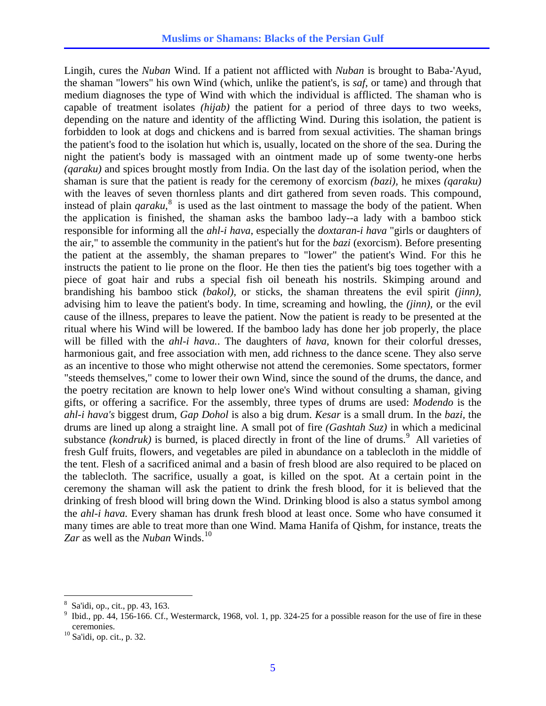Lingih, cures the *Nuban* Wind. If a patient not afflicted with *Nuban* is brought to Baba-'Ayud, the shaman "lowers" his own Wind (which, unlike the patient's, is *saf,* or tame) and through that medium diagnoses the type of Wind with which the individual is afflicted. The shaman who is capable of treatment isolates *(hijab)* the patient for a period of three days to two weeks, depending on the nature and identity of the afflicting Wind. During this isolation, the patient is forbidden to look at dogs and chickens and is barred from sexual activities. The shaman brings the patient's food to the isolation hut which is, usually, located on the shore of the sea. During the night the patient's body is massaged with an ointment made up of some twenty-one herbs *(qaraku)* and spices brought mostly from India. On the last day of the isolation period, when the shaman is sure that the patient is ready for the ceremony of exorcism *(bazi),* he mixes *(qaraku)* with the leaves of seven thornless plants and dirt gathered from seven roads. This compound, instead of plain *qaraku*, [8](#page-4-0) is used as the last ointment to massage the body of the patient. When the application is finished, the shaman asks the bamboo lady--a lady with a bamboo stick responsible for informing all the *ahl-i hava*, especially the *doxtaran-i hava* "girls or daughters of the air," to assemble the community in the patient's hut for the *bazi* (exorcism). Before presenting the patient at the assembly, the shaman prepares to "lower" the patient's Wind. For this he instructs the patient to lie prone on the floor. He then ties the patient's big toes together with a piece of goat hair and rubs a special fish oil beneath his nostrils. Skimping around and brandishing his bamboo stick *(bakol),* or sticks, the shaman threatens the evil spirit *(jinn),* advising him to leave the patient's body. In time, screaming and howling, the *(jinn),* or the evil cause of the illness, prepares to leave the patient. Now the patient is ready to be presented at the ritual where his Wind will be lowered. If the bamboo lady has done her job properly, the place will be filled with the *ahl-i hava.*. The daughters of *hava,* known for their colorful dresses, harmonious gait, and free association with men, add richness to the dance scene. They also serve as an incentive to those who might otherwise not attend the ceremonies. Some spectators, former "steeds themselves," come to lower their own Wind, since the sound of the drums, the dance, and the poetry recitation are known to help lower one's Wind without consulting a shaman, giving gifts, or offering a sacrifice. For the assembly, three types of drums are used: *Modendo* is the *ahl-i hava's* biggest drum, *Gap Dohol* is also a big drum. *Kesar* is a small drum. In the *bazi,* the drums are lined up along a straight line. A small pot of fire *(Gashtah Suz)* in which a medicinal substance *(kondruk)* is burned, is placed directly in front of the line of drums.<sup>[9](#page-4-1)</sup> All varieties of fresh Gulf fruits, flowers, and vegetables are piled in abundance on a tablecloth in the middle of the tent. Flesh of a sacrificed animal and a basin of fresh blood are also required to be placed on the tablecloth. The sacrifice, usually a goat, is killed on the spot. At a certain point in the ceremony the shaman will ask the patient to drink the fresh blood, for it is believed that the drinking of fresh blood will bring down the Wind. Drinking blood is also a status symbol among the *ahl-i hava.* Every shaman has drunk fresh blood at least once. Some who have consumed it many times are able to treat more than one Wind. Mama Hanifa of Qishm, for instance, treats the *Zar* as well as the *Nuban* Winds.<sup>[10](#page-4-2)</sup>

<sup>8</sup> Sa'idi, op., cit., pp. 43, 163.

<span id="page-4-1"></span><span id="page-4-0"></span><sup>9</sup> Ibid., pp. 44, 156-166. Cf., Westermarck, 1968, vol. 1, pp. 324-25 for a possible reason for the use of fire in these ceremonies. 10 Sa'idi, op. cit., p. 32.

<span id="page-4-2"></span>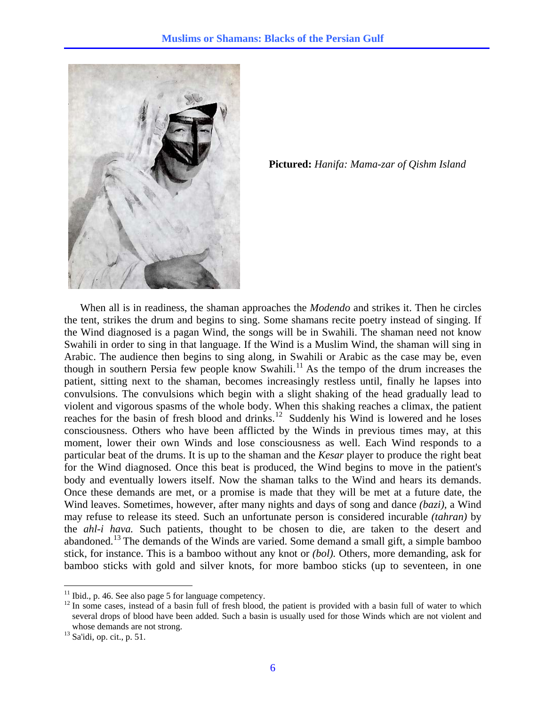

**Pictured:** *Hanifa: Mama-zar of Qishm Island*

 When all is in readiness, the shaman approaches the *Modendo* and strikes it. Then he circles the tent, strikes the drum and begins to sing. Some shamans recite poetry instead of singing. If the Wind diagnosed is a pagan Wind, the songs will be in Swahili. The shaman need not know Swahili in order to sing in that language. If the Wind is a Muslim Wind, the shaman will sing in Arabic. The audience then begins to sing along, in Swahili or Arabic as the case may be, even though in southern Persia few people know Swahili.<sup>[11](#page-5-0)</sup> As the tempo of the drum increases the patient, sitting next to the shaman, becomes increasingly restless until, finally he lapses into convulsions. The convulsions which begin with a slight shaking of the head gradually lead to violent and vigorous spasms of the whole body. When this shaking reaches a climax, the patient reaches for the basin of fresh blood and drinks.<sup>[12](#page-5-1)</sup> Suddenly his Wind is lowered and he loses consciousness. Others who have been afflicted by the Winds in previous times may, at this moment, lower their own Winds and lose consciousness as well. Each Wind responds to a particular beat of the drums. It is up to the shaman and the *Kesar* player to produce the right beat for the Wind diagnosed. Once this beat is produced, the Wind begins to move in the patient's body and eventually lowers itself. Now the shaman talks to the Wind and hears its demands. Once these demands are met, or a promise is made that they will be met at a future date, the Wind leaves. Sometimes, however, after many nights and days of song and dance *(bazi),* a Wind may refuse to release its steed. Such an unfortunate person is considered incurable *(tahran)* by the *ahl-i hava.* Such patients, thought to be chosen to die, are taken to the desert and abandoned.[13](#page-5-2) The demands of the Winds are varied. Some demand a small gift, a simple bamboo stick, for instance. This is a bamboo without any knot or *(bol).* Others, more demanding, ask for bamboo sticks with gold and silver knots, for more bamboo sticks (up to seventeen, in one

<span id="page-5-0"></span> $11$  Ibid., p. 46. See also page 5 for language competency.

<span id="page-5-1"></span> $12$  In some cases, instead of a basin full of fresh blood, the patient is provided with a basin full of water to which several drops of blood have been added. Such a basin is usually used for those Winds which are not violent and whose demands are not strong.<br><sup>13</sup> Sa'idi, op. cit., p. 51.

<span id="page-5-2"></span>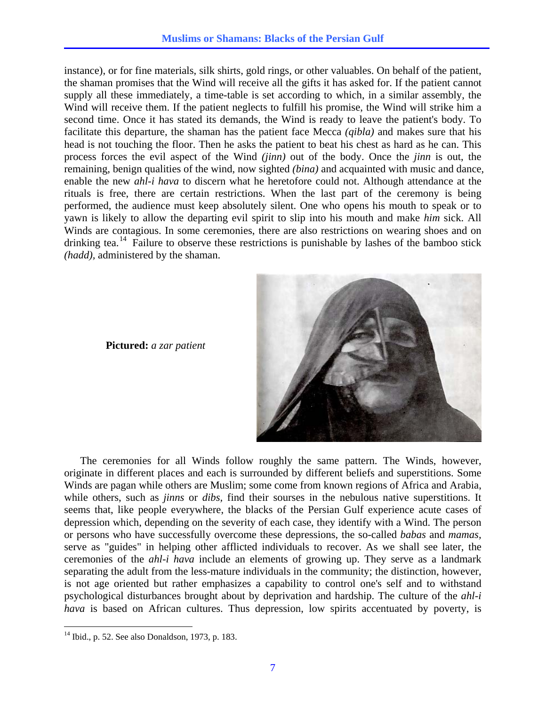instance), or for fine materials, silk shirts, gold rings, or other valuables. On behalf of the patient, the shaman promises that the Wind will receive all the gifts it has asked for. If the patient cannot supply all these immediately, a time-table is set according to which, in a similar assembly, the Wind will receive them. If the patient neglects to fulfill his promise, the Wind will strike him a second time. Once it has stated its demands, the Wind is ready to leave the patient's body. To facilitate this departure, the shaman has the patient face Mecca *(qibla)* and makes sure that his head is not touching the floor. Then he asks the patient to beat his chest as hard as he can. This process forces the evil aspect of the Wind *(jinn)* out of the body. Once the *jinn* is out, the remaining, benign qualities of the wind, now sighted *(bina)* and acquainted with music and dance, enable the new *ahl-i hava* to discern what he heretofore could not. Although attendance at the rituals is free, there are certain restrictions. When the last part of the ceremony is being performed, the audience must keep absolutely silent. One who opens his mouth to speak or to yawn is likely to allow the departing evil spirit to slip into his mouth and make *him* sick. All Winds are contagious. In some ceremonies, there are also restrictions on wearing shoes and on drinking tea.<sup>[14](#page-6-0)</sup> Failure to observe these restrictions is punishable by lashes of the bamboo stick *(hadd),* administered by the shaman.



**Pictured:** *a zar patient*

 The ceremonies for all Winds follow roughly the same pattern. The Winds, however, originate in different places and each is surrounded by different beliefs and superstitions. Some Winds are pagan while others are Muslim; some come from known regions of Africa and Arabia, while others, such as *jinns* or *dibs,* find their sourses in the nebulous native superstitions. It seems that, like people everywhere, the blacks of the Persian Gulf experience acute cases of depression which, depending on the severity of each case, they identify with a Wind. The person or persons who have successfully overcome these depressions, the so-called *babas* and *mamas,* serve as "guides" in helping other afflicted individuals to recover. As we shall see later, the ceremonies of the *ahl-i hava* include an elements of growing up. They serve as a landmark separating the adult from the less-mature individuals in the community; the distinction, however, is not age oriented but rather emphasizes a capability to control one's self and to withstand psychological disturbances brought about by deprivation and hardship. The culture of the *ahl-i hava* is based on African cultures. Thus depression, low spirits accentuated by poverty, is

<span id="page-6-0"></span> $14$  Ibid., p. 52. See also Donaldson, 1973, p. 183.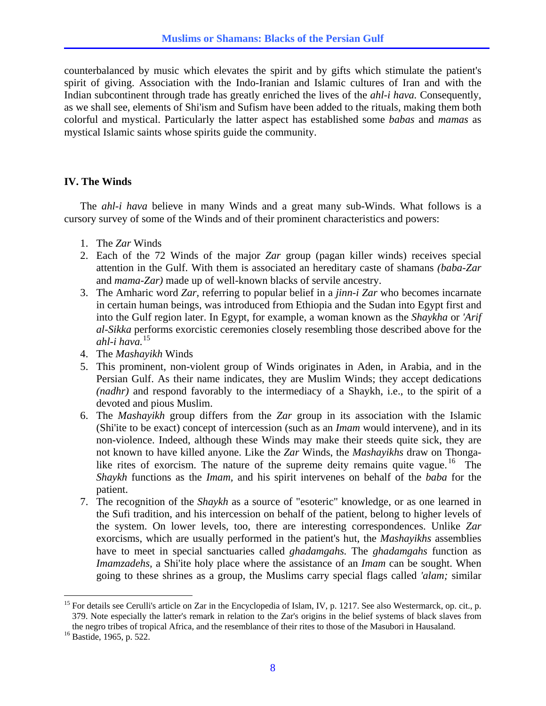counterbalanced by music which elevates the spirit and by gifts which stimulate the patient's spirit of giving. Association with the Indo-Iranian and Islamic cultures of Iran and with the Indian subcontinent through trade has greatly enriched the lives of the *ahl-i hava.* Consequently, as we shall see, elements of Shi'ism and Sufism have been added to the rituals, making them both colorful and mystical. Particularly the latter aspect has established some *babas* and *mamas* as mystical Islamic saints whose spirits guide the community.

# **IV. The Winds**

 The *ahl-i hava* believe in many Winds and a great many sub-Winds. What follows is a cursory survey of some of the Winds and of their prominent characteristics and powers:

- 1. The *Zar* Winds
- 2. Each of the 72 Winds of the major *Zar* group (pagan killer winds) receives special attention in the Gulf. With them is associated an hereditary caste of shamans *(baba-Zar*  and *mama-Zar)* made up of well-known blacks of servile ancestry.
- 3. The Amharic word *Zar,* referring to popular belief in a *jinn-i Zar* who becomes incarnate in certain human beings, was introduced from Ethiopia and the Sudan into Egypt first and into the Gulf region later. In Egypt, for example, a woman known as the *Shaykha* or *'Arif al-Sikka* performs exorcistic ceremonies closely resembling those described above for the *ahl-i hava.*[15](#page-7-0)
- 4. The *Mashayikh* Winds
- 5. This prominent, non-violent group of Winds originates in Aden, in Arabia, and in the Persian Gulf. As their name indicates, they are Muslim Winds; they accept dedications *(nadhr)* and respond favorably to the intermediacy of a Shaykh, i.e., to the spirit of a devoted and pious Muslim.
- 6. The *Mashayikh* group differs from the *Zar* group in its association with the Islamic (Shi'ite to be exact) concept of intercession (such as an *Imam* would intervene), and in its non-violence. Indeed, although these Winds may make their steeds quite sick, they are not known to have killed anyone. Like the *Zar* Winds, the *Mashayikhs* draw on Thonga-like rites of exorcism. The nature of the supreme deity remains quite vague. <sup>[16](#page-7-1)</sup> The *Shaykh* functions as the *Imam,* and his spirit intervenes on behalf of the *baba* for the patient.
- 7. The recognition of the *Shaykh* as a source of "esoteric" knowledge, or as one learned in the Sufi tradition, and his intercession on behalf of the patient, belong to higher levels of the system. On lower levels, too, there are interesting correspondences. Unlike *Zar* exorcisms, which are usually performed in the patient's hut, the *Mashayikhs* assemblies have to meet in special sanctuaries called *ghadamgahs.* The *ghadamgahs* function as *Imamzadehs,* a Shi'ite holy place where the assistance of an *Imam* can be sought. When going to these shrines as a group, the Muslims carry special flags called *'alam;* similar

<span id="page-7-0"></span><sup>&</sup>lt;sup>15</sup> For details see Cerulli's article on Zar in the Encyclopedia of Islam, IV, p. 1217. See also Westermarck, op. cit., p. 379. Note especially the latter's remark in relation to the Zar's origins in the belief systems of black slaves from the negro tribes of tropical Africa, and the resemblance of their rites to those of the Masubori in Hausaland. <sup>16</sup> Bastide, 1965, p. 522.

<span id="page-7-1"></span>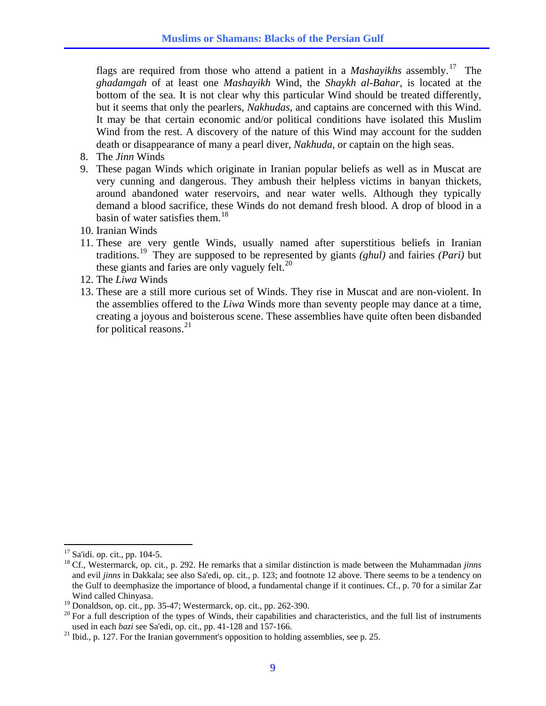flags are required from those who attend a patient in a *Mashayikhs* assembly.<sup>17</sup> The *ghadamgah* of at least one *Mashayikh* Wind, the *Shaykh al-Bahar,* is located at the bottom of the sea. It is not clear why this particular Wind should be treated differently, but it seems that only the pearlers, *Nakhudas,* and captains are concerned with this Wind. It may be that certain economic and/or political conditions have isolated this Muslim Wind from the rest. A discovery of the nature of this Wind may account for the sudden death or disappearance of many a pearl diver, *Nakhuda,* or captain on the high seas.

- 8. The *Jinn* Winds
- 9. These pagan Winds which originate in Iranian popular beliefs as well as in Muscat are very cunning and dangerous. They ambush their helpless victims in banyan thickets, around abandoned water reservoirs, and near water wells. Although they typically demand a blood sacrifice, these Winds do not demand fresh blood. A drop of blood in a basin of water satisfies them.<sup>[18](#page-8-0)</sup>
- 10. Iranian Winds
- 11. These are very gentle Winds, usually named after superstitious beliefs in Iranian traditions.[19](#page-8-1) They are supposed to be represented by giants *(ghul)* and fairies *(Pari)* but these giants and faries are only vaguely felt. $^{20}$  $^{20}$  $^{20}$
- 12. The *Liwa* Winds
- 13. These are a still more curious set of Winds. They rise in Muscat and are non-violent. In the assemblies offered to the *Liwa* Winds more than seventy people may dance at a time, creating a joyous and boisterous scene. These assemblies have quite often been disbanded for political reasons. $^{21}$  $^{21}$  $^{21}$

 $17$  Sa'idi. op. cit., pp. 104-5.

<span id="page-8-0"></span><sup>18</sup> Cf., Westermarck, op. cit., p. 292. He remarks that a similar distinction is made between the Muhammadan *jinns* and evil *jinns* in Dakkala; see also Sa'edi, op. cit., p. 123; and footnote 12 above. There seems to be a tendency on the Gulf to deemphasize the importance of blood, a fundamental change if it continues. Cf., p. 70 for a similar Zar Wind called Chinyasa.

 $19$  Donaldson, op. cit., pp. 35-47; Westermarck, op. cit., pp. 262-390.

<span id="page-8-2"></span><span id="page-8-1"></span><sup>&</sup>lt;sup>20</sup> For a full description of the types of Winds, their capabilities and characteristics, and the full list of instruments used in each *bazi* see Sa'edi, op. cit., pp. 41-128 and 157-166. 21 Ibid., p. 127. For the Iranian government's opposition to holding assemblies, see p. 25.

<span id="page-8-3"></span>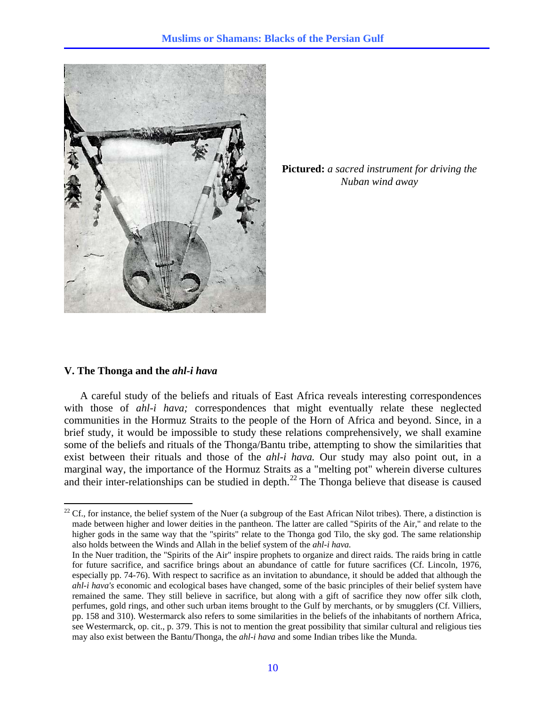

**Pictured:** *a sacred instrument for driving the Nuban wind away*

# **V. The Thonga and the** *ahl-i hava*

 $\overline{a}$ 

A careful study of the beliefs and rituals of East Africa reveals interesting correspondences with those of *ahl-i hava;* correspondences that might eventually relate these neglected communities in the Hormuz Straits to the people of the Horn of Africa and beyond. Since, in a brief study, it would be impossible to study these relations comprehensively, we shall examine some of the beliefs and rituals of the Thonga/Bantu tribe, attempting to show the similarities that exist between their rituals and those of the *ahl-i hava.* Our study may also point out, in a marginal way, the importance of the Hormuz Straits as a "melting pot" wherein diverse cultures and their inter-relationships can be studied in depth.<sup>[22](#page-9-0)</sup> The Thonga believe that disease is caused

<span id="page-9-0"></span> $22$  Cf., for instance, the belief system of the Nuer (a subgroup of the East African Nilot tribes). There, a distinction is made between higher and lower deities in the pantheon. The latter are called "Spirits of the Air," and relate to the higher gods in the same way that the "spirits" relate to the Thonga god Tilo, the sky god. The same relationship also holds between the Winds and Allah in the belief system of the *ahl-i hava.* 

In the Nuer tradition, the "Spirits of the Air" inspire prophets to organize and direct raids. The raids bring in cattle for future sacrifice, and sacrifice brings about an abundance of cattle for future sacrifices (Cf. Lincoln, 1976, especially pp. 74-76). With respect to sacrifice as an invitation to abundance, it should be added that although the *ahl-i hava's* economic and ecological bases have changed, some of the basic principles of their belief system have remained the same. They still believe in sacrifice, but along with a gift of sacrifice they now offer silk cloth, perfumes, gold rings, and other such urban items brought to the Gulf by merchants, or by smugglers (Cf. Villiers, pp. 158 and 310). Westermarck also refers to some similarities in the beliefs of the inhabitants of northern Africa, see Westermarck, op. cit., p. 379. This is not to mention the great possibility that similar cultural and religious ties may also exist between the Bantu/Thonga, the *ahl-i hava* and some Indian tribes like the Munda.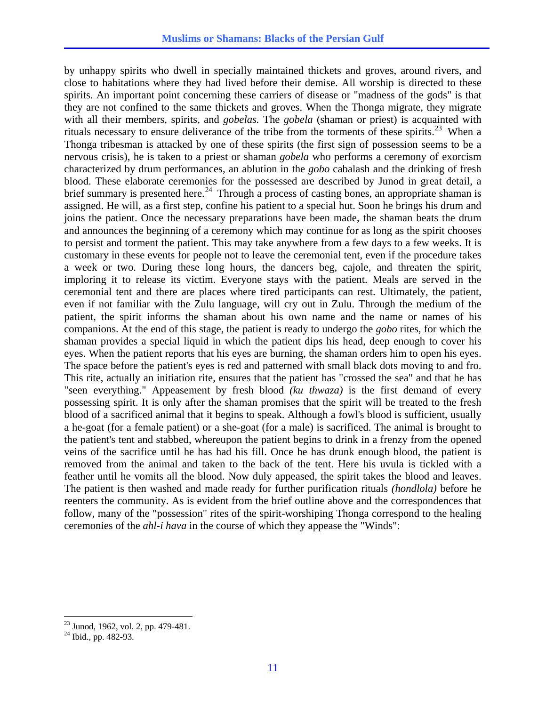by unhappy spirits who dwell in specially maintained thickets and groves, around rivers, and close to habitations where they had lived before their demise. All worship is directed to these spirits. An important point concerning these carriers of disease or "madness of the gods" is that they are not confined to the same thickets and groves. When the Thonga migrate, they migrate with all their members, spirits, and *gobelas.* The *gobela* (shaman or priest) is acquainted with rituals necessary to ensure deliverance of the tribe from the torments of these spirits.<sup>[23](#page-10-0)</sup> When a Thonga tribesman is attacked by one of these spirits (the first sign of possession seems to be a nervous crisis), he is taken to a priest or shaman *gobela* who performs a ceremony of exorcism characterized by drum performances, an ablution in the *gobo* cabalash and the drinking of fresh blood. These elaborate ceremonies for the possessed are described by Junod in great detail, a brief summary is presented here.<sup>[24](#page-10-1)</sup> Through a process of casting bones, an appropriate shaman is assigned. He will, as a first step, confine his patient to a special hut. Soon he brings his drum and joins the patient. Once the necessary preparations have been made, the shaman beats the drum and announces the beginning of a ceremony which may continue for as long as the spirit chooses to persist and torment the patient. This may take anywhere from a few days to a few weeks. It is customary in these events for people not to leave the ceremonial tent, even if the procedure takes a week or two. During these long hours, the dancers beg, cajole, and threaten the spirit, imploring it to release its victim. Everyone stays with the patient. Meals are served in the ceremonial tent and there are places where tired participants can rest. Ultimately, the patient, even if not familiar with the Zulu language, will cry out in Zulu. Through the medium of the patient, the spirit informs the shaman about his own name and the name or names of his companions. At the end of this stage, the patient is ready to undergo the *gobo* rites, for which the shaman provides a special liquid in which the patient dips his head, deep enough to cover his eyes. When the patient reports that his eyes are burning, the shaman orders him to open his eyes. The space before the patient's eyes is red and patterned with small black dots moving to and fro. This rite, actually an initiation rite, ensures that the patient has "crossed the sea" and that he has "seen everything." Appeasement by fresh blood *(ku thwaza)* is the first demand of every possessing spirit. It is only after the shaman promises that the spirit will be treated to the fresh blood of a sacrificed animal that it begins to speak. Although a fowl's blood is sufficient, usually a he-goat (for a female patient) or a she-goat (for a male) is sacrificed. The animal is brought to the patient's tent and stabbed, whereupon the patient begins to drink in a frenzy from the opened veins of the sacrifice until he has had his fill. Once he has drunk enough blood, the patient is removed from the animal and taken to the back of the tent. Here his uvula is tickled with a feather until he vomits all the blood. Now duly appeased, the spirit takes the blood and leaves. The patient is then washed and made ready for further purification rituals *(hondlola)* before he reenters the community. As is evident from the brief outline above and the correspondences that follow, many of the "possession" rites of the spirit-worshiping Thonga correspond to the healing ceremonies of the *ahl-i hava* in the course of which they appease the "Winds":

<sup>&</sup>lt;sup>23</sup> Junod, 1962, vol. 2, pp. 479-481.

<span id="page-10-1"></span><span id="page-10-0"></span><sup>24</sup> Ibid., pp. 482-93.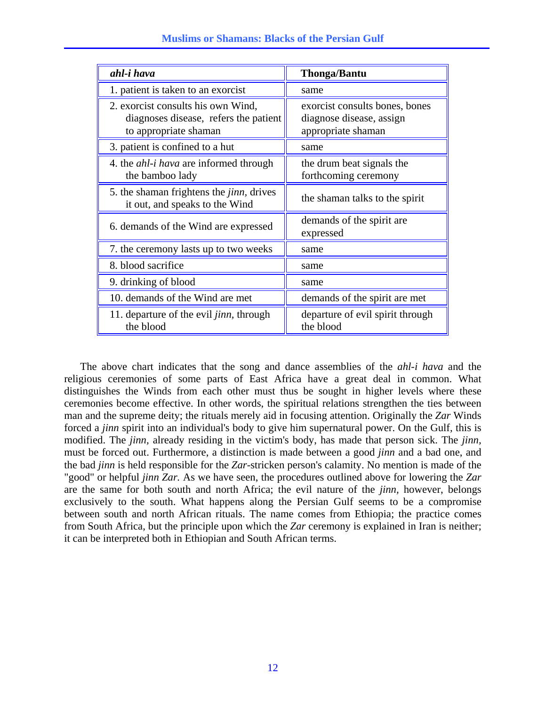| ahl-i hava                                                                                           | <b>Thonga/Bantu</b>                                                              |
|------------------------------------------------------------------------------------------------------|----------------------------------------------------------------------------------|
| 1. patient is taken to an exorcist                                                                   | same                                                                             |
| 2. exorcist consults his own Wind,<br>diagnoses disease, refers the patient<br>to appropriate shaman | exorcist consults bones, bones<br>diagnose disease, assign<br>appropriate shaman |
| 3. patient is confined to a hut                                                                      | same                                                                             |
| 4. the <i>ahl-i hava</i> are informed through<br>the bamboo lady                                     | the drum beat signals the<br>forthcoming ceremony                                |
| 5. the shaman frightens the <i>jinn</i> , drives<br>it out, and speaks to the Wind                   | the shaman talks to the spirit                                                   |
| 6. demands of the Wind are expressed                                                                 | demands of the spirit are<br>expressed                                           |
| 7. the ceremony lasts up to two weeks                                                                | same                                                                             |
| 8. blood sacrifice                                                                                   | same                                                                             |
| 9. drinking of blood                                                                                 | same                                                                             |
| 10. demands of the Wind are met                                                                      | demands of the spirit are met                                                    |
| 11. departure of the evil <i>jinn</i> , through<br>the blood                                         | departure of evil spirit through<br>the blood                                    |

 The above chart indicates that the song and dance assemblies of the *ahl-i hava* and the religious ceremonies of some parts of East Africa have a great deal in common. What distinguishes the Winds from each other must thus be sought in higher levels where these ceremonies become effective. In other words, the spiritual relations strengthen the ties between man and the supreme deity; the rituals merely aid in focusing attention. Originally the *Zar* Winds forced a *jinn* spirit into an individual's body to give him supernatural power. On the Gulf, this is modified. The *jinn,* already residing in the victim's body, has made that person sick. The *jinn,* must be forced out. Furthermore, a distinction is made between a good *jinn* and a bad one, and the bad *jinn* is held responsible for the *Zar-*stricken person's calamity. No mention is made of the "good" or helpful *jinn Zar.* As we have seen, the procedures outlined above for lowering the *Zar* are the same for both south and north Africa; the evil nature of the *jinn,* however, belongs exclusively to the south. What happens along the Persian Gulf seems to be a compromise between south and north African rituals. The name comes from Ethiopia; the practice comes from South Africa, but the principle upon which the *Zar* ceremony is explained in Iran is neither; it can be interpreted both in Ethiopian and South African terms.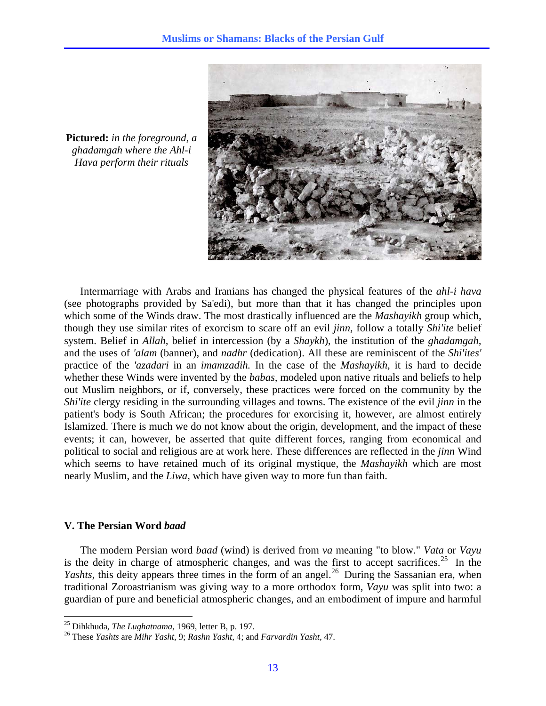

**Pictured:** *in the foreground, a ghadamgah where the Ahl-i Hava perform their rituals*

 Intermarriage with Arabs and Iranians has changed the physical features of the *ahl-i hava* (see photographs provided by Sa'edi), but more than that it has changed the principles upon which some of the Winds draw. The most drastically influenced are the *Mashayikh* group which, though they use similar rites of exorcism to scare off an evil *jinn,* follow a totally *Shi'ite* belief system. Belief in *Allah,* belief in intercession (by a *Shaykh*), the institution of the *ghadamgah,* and the uses of *'alam* (banner), and *nadhr* (dedication). All these are reminiscent of the *Shi'ites'* practice of the *'azadari* in an *imamzadih.* In the case of the *Mashayikh,* it is hard to decide whether these Winds were invented by the *babas,* modeled upon native rituals and beliefs to help out Muslim neighbors, or if, conversely, these practices were forced on the community by the *Shi'ite* clergy residing in the surrounding villages and towns. The existence of the evil *jinn* in the patient's body is South African; the procedures for exorcising it, however, are almost entirely Islamized. There is much we do not know about the origin, development, and the impact of these events; it can, however, be asserted that quite different forces, ranging from economical and political to social and religious are at work here. These differences are reflected in the *jinn* Wind which seems to have retained much of its original mystique, the *Mashayikh* which are most nearly Muslim, and the *Liwa,* which have given way to more fun than faith.

### **V. The Persian Word** *baad*

 $\overline{a}$ 

The modern Persian word *baad* (wind) is derived from *va* meaning "to blow." *Vata* or *Vayu* is the deity in charge of atmospheric changes, and was the first to accept sacrifices.<sup>[25](#page-12-0)</sup> In the *Yashts*, this deity appears three times in the form of an angel.<sup>[26](#page-12-1)</sup> During the Sassanian era, when traditional Zoroastrianism was giving way to a more orthodox form, *Vayu* was split into two: a guardian of pure and beneficial atmospheric changes, and an embodiment of impure and harmful

<span id="page-12-1"></span><span id="page-12-0"></span><sup>25</sup> Dihkhuda, *The Lughatnama,* 1969, letter B, p. 197. 26 These *Yashts* are *Mihr Yasht,* 9; *Rashn Yasht,* 4; and *Farvardin Yasht,* 47.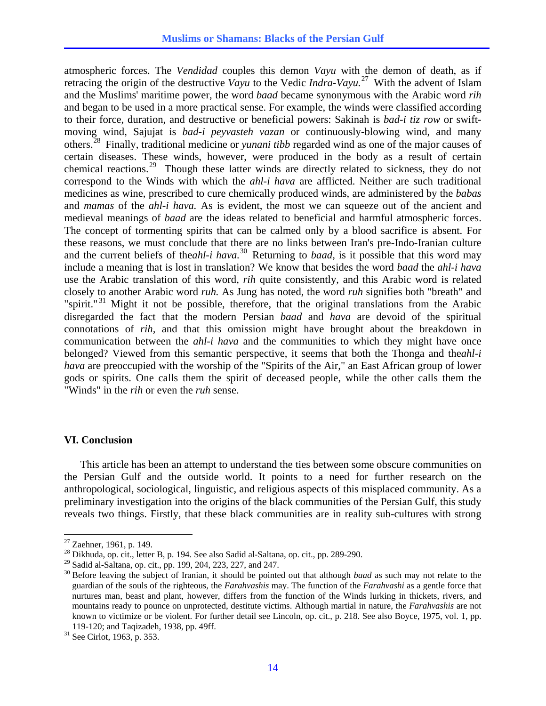atmospheric forces. The *Vendidad* couples this demon *Vayu* with the demon of death, as if retracing the origin of the destructive *Vayu* to the Vedic *Indra-Vayu.*[27](#page-13-0) With the advent of Islam and the Muslims' maritime power, the word *baad* became synonymous with the Arabic word *rih* and began to be used in a more practical sense. For example, the winds were classified according to their force, duration, and destructive or beneficial powers: Sakinah is *bad-i tiz row* or swiftmoving wind, Sajujat is *bad-i peyvasteh vazan* or continuously-blowing wind, and many others.[28](#page-13-1) Finally, traditional medicine or *yunani tibb* regarded wind as one of the major causes of certain diseases. These winds, however, were produced in the body as a result of certain chemical reactions.<sup>[29](#page-13-2)</sup> Though these latter winds are directly related to sickness, they do not correspond to the Winds with which the *ahl-i hava* are afflicted. Neither are such traditional medicines as wine, prescribed to cure chemically produced winds, are administered by the *babas* and *mamas* of the *ahl-i hava.* As is evident, the most we can squeeze out of the ancient and medieval meanings of *baad* are the ideas related to beneficial and harmful atmospheric forces. The concept of tormenting spirits that can be calmed only by a blood sacrifice is absent. For these reasons, we must conclude that there are no links between Iran's pre-Indo-Iranian culture and the current beliefs of the*ahl-i hava.*[30](#page-13-3) Returning to *baad,* is it possible that this word may include a meaning that is lost in translation? We know that besides the word *baad* the *ahl-i hava* use the Arabic translation of this word, *rih* quite consistently, and this Arabic word is related closely to another Arabic word *ruh.* As Jung has noted, the word *ruh* signifies both "breath" and "spirit."<sup>[31](#page-13-4)</sup> Might it not be possible, therefore, that the original translations from the Arabic disregarded the fact that the modern Persian *baad* and *hava* are devoid of the spiritual connotations of *rih,* and that this omission might have brought about the breakdown in communication between the *ahl-i hava* and the communities to which they might have once belonged? Viewed from this semantic perspective, it seems that both the Thonga and the*ahl-i hava* are preoccupied with the worship of the "Spirits of the Air," an East African group of lower gods or spirits. One calls them the spirit of deceased people, while the other calls them the "Winds" in the *rih* or even the *ruh* sense.

# **VI. Conclusion**

This article has been an attempt to understand the ties between some obscure communities on the Persian Gulf and the outside world. It points to a need for further research on the anthropological, sociological, linguistic, and religious aspects of this misplaced community. As a preliminary investigation into the origins of the black communities of the Persian Gulf, this study reveals two things. Firstly, that these black communities are in reality sub-cultures with strong

1

<span id="page-13-0"></span> $27$  Zaehner, 1961, p. 149.

<span id="page-13-1"></span><sup>28</sup> Dikhuda, op. cit., letter B, p. 194. See also Sadid al-Saltana, op. cit., pp. 289-290.

<span id="page-13-2"></span><sup>29</sup> Sadid al-Saltana, op. cit., pp. 199, 204, 223, 227, and 247.

<span id="page-13-3"></span><sup>30</sup> Before leaving the subject of Iranian, it should be pointed out that although *baad* as such may not relate to the guardian of the souls of the righteous, the *Farahvashis* may. The function of the *Farahvashi* as a gentle force that nurtures man, beast and plant, however, differs from the function of the Winds lurking in thickets, rivers, and mountains ready to pounce on unprotected, destitute victims. Although martial in nature, the *Farahvashis* are not known to victimize or be violent. For further detail see Lincoln, op. cit., p. 218. See also Boyce, 1975, vol. 1, pp. 119-120; and Taqizadeh, 1938, pp. 49ff. 31 See Cirlot, 1963, p. 353.

<span id="page-13-4"></span>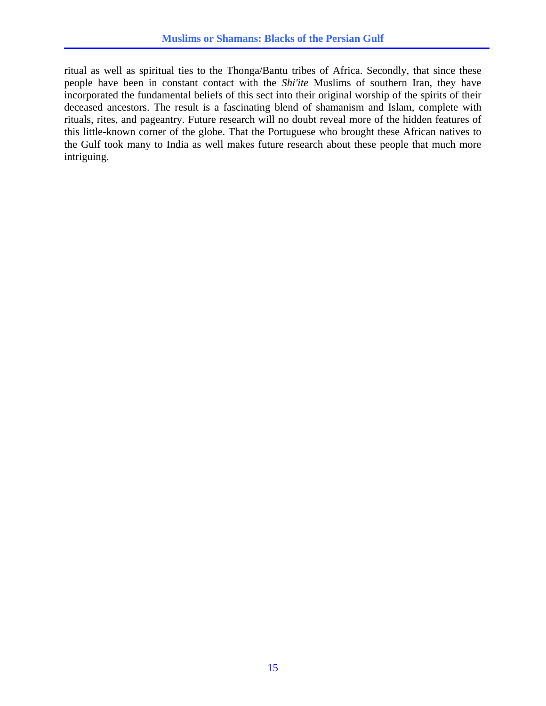ritual as well as spiritual ties to the Thonga/Bantu tribes of Africa. Secondly, that since these people have been in constant contact with the *Shi'ite* Muslims of southern Iran, they have incorporated the fundamental beliefs of this sect into their original worship of the spirits of their deceased ancestors. The result is a fascinating blend of shamanism and Islam, complete with rituals, rites, and pageantry. Future research will no doubt reveal more of the hidden features of this little-known corner of the globe. That the Portuguese who brought these African natives to the Gulf took many to India as well makes future research about these people that much more intriguing.